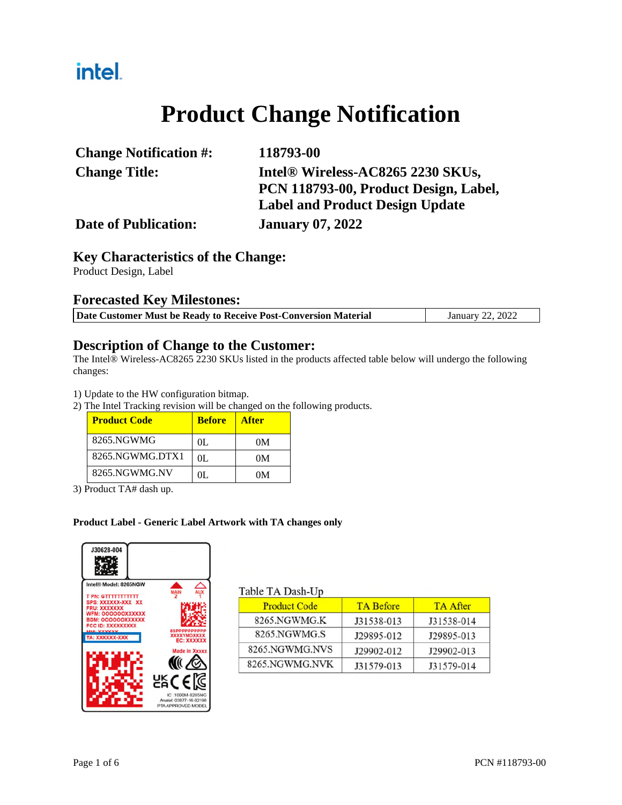## intel.

## **Product Change Notification**

| <b>Change Notification #:</b> | 118793-00                              |
|-------------------------------|----------------------------------------|
| <b>Change Title:</b>          | Intel® Wireless-AC8265 2230 SKUs,      |
|                               | PCN 118793-00, Product Design, Label,  |
|                               | <b>Label and Product Design Update</b> |
| <b>Date of Publication:</b>   | <b>January 07, 2022</b>                |

## **Key Characteristics of the Change:**

Product Design, Label

### **Forecasted Key Milestones:**

|  | Date Customer Must be Ready to Receive Post-Conversion Material | January 22, 2022 |
|--|-----------------------------------------------------------------|------------------|
|  |                                                                 |                  |

### **Description of Change to the Customer:**

The Intel® Wireless-AC8265 2230 SKUs listed in the products affected table below will undergo the following changes:

1) Update to the HW configuration bitmap.

2) The Intel Tracking revision will be changed on the following products.

| <b>Product Code</b> | <b>Before</b> | <b>After</b> |
|---------------------|---------------|--------------|
| 8265.NGWMG          | OL.           | 0M           |
| 8265.NGWMG.DTX1     | OL.           | 0M           |
| 8265.NGWMG.NV       | $\Omega$      | OМ           |

3) Product TA# dash up.

#### **Product Label - Generic Label Artwork with TA changes only**



#### Table TA Dash-Un

| <b>Product Code</b> | <b>TA Before</b> | <b>TA After</b> |
|---------------------|------------------|-----------------|
| 8265.NGWMG.K        | J31538-013       | J31538-014      |
| 8265.NGWMG.S        | J29895-012       | J29895-013      |
| 8265.NGWMG.NVS      | J29902-012       | J29902-013      |
| 8265.NGWMG.NVK      | J31579-013       | J31579-014      |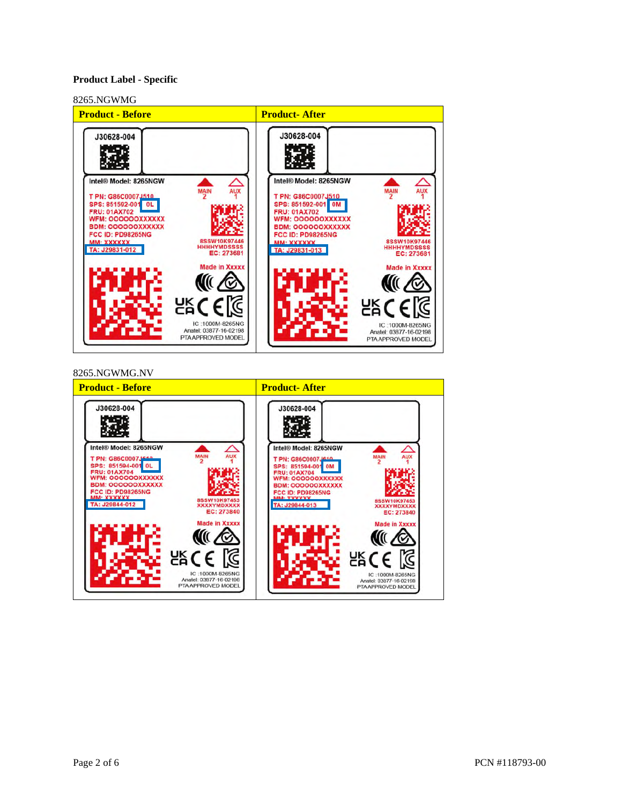#### **Product Label - Specific**



#### 8265.NGWMG.NV

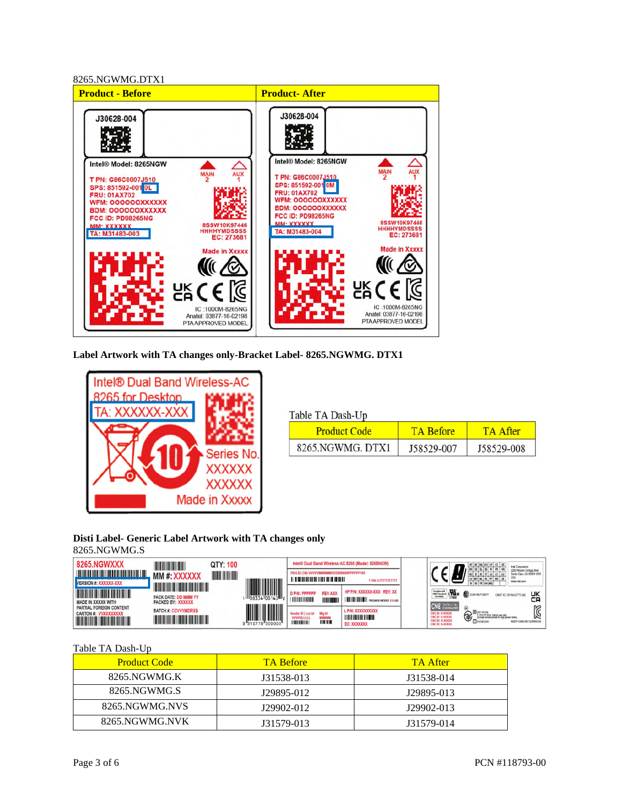

**Label Artwork with TA changes only-Bracket Label- 8265.NGWMG. DTX1** 



| able TA Dash-Up     |                  |            |
|---------------------|------------------|------------|
| <b>Product Code</b> | <b>TA Refore</b> | TA After   |
| 8265.NGWMG. DTX1    | J58529-007       | J58529-008 |

#### **Disti Label- Generic Label Artwork with TA changes only**  8265.NGWMG.S

| <b>8265.NGWXXX</b>                                                                                                                             | QTY: 100                                                                                                                                                           |                                     |                                                                                                                 | Intel® Dual Band Wireless-AC 8265 (Model: 8265NGW)                     | AT BE BG CH CY CZ DE<br>Intel Corporation                                                                                                                                                                                                                                        |
|------------------------------------------------------------------------------------------------------------------------------------------------|--------------------------------------------------------------------------------------------------------------------------------------------------------------------|-------------------------------------|-----------------------------------------------------------------------------------------------------------------|------------------------------------------------------------------------|----------------------------------------------------------------------------------------------------------------------------------------------------------------------------------------------------------------------------------------------------------------------------------|
| <b>The contract of the contract of the contract of the contract of the contract of the contract of the contract o</b><br>VERSION #: XXXXXX-XXX | <b>THE MANIFE</b><br>MM#: XXXXXX                                                                                                                                   |                                     | PKG ID (3S) VVVVVMMMMMDDD#####PPPPPPP100                                                                        | <b>T P/N: GTTTTTTTTTTTT</b>                                            | 2200 Mission College Blvd<br>Santa Clara CA 95054-1549<br>WWW.Infall.com<br>SI SK TR UK (NI)                                                                                                                                                                                     |
| MADE IN XXXXX WITH                                                                                                                             | <u> III di kacamatan ing Kabupatèn Bandaran Ing Kabupatèn Bandaran Ing Kabupatèn Bandaran Ing Kabupatèn Bandaran </u><br>PACK DATE: DD MMM YY<br>PACKED BY: XXXXXX | <u> Hill</u><br>$-1188334100140112$ | <b>REV AXX</b><br><b>D P/N: PPPPPP</b><br><u> I TELEVISIONI MATEMATI</u>                                        | HP P/N: XXXXXX-XXX REV: XX<br><b>IN THE TELL PACKAGE WEIGHT: XXLBS</b> | Striples with <b>Way of COMMUNICATE</b><br>UK<br>CMIT ID: 2016AJ2775 (M)                                                                                                                                                                                                         |
| PARTIAL FOREIGN CONTENT<br>CARTON # WXXXXXXXX<br><u> Handi ka matsayin ka shekara ta shekara ta 1989 ku</u>                                    | <b>BATCH #: CCVVYMDRSS</b>                                                                                                                                         | III                                 | <b>Mfald</b><br>Vendor ID   Loc Id<br><b>WWWILLLLL</b><br><b>MMMMM</b><br><b>THE HILL</b><br><b>THE BUILDER</b> | L P/N: XXXXXXXXXXX<br><b>THE REAL PROPERTY AND IN</b><br>EC: XXXXXXXX  | <b>CNC ROOM MILACON</b><br>$\textcircled{3}$ $\bigoplus_{\square \text{ times } }$<br>CNC ID: X-XXXXX<br>5.15-5.35 GHz indoor use only<br>(Except communicate to http://www.radio)<br>CNC ID: X-XXXXX<br><b>CNCID: X-XXXXX</b><br>MSIP-CRM-INT-82BENGW<br><b>CNC ID: X-XXXXX</b> |

T

#### Table TA Dash-Up

| <b>Product Code</b> | <b>TA Before</b> | <b>TA After</b> |
|---------------------|------------------|-----------------|
| 8265.NGWMG.K        | J31538-013       | J31538-014      |
| 8265.NGWMG.S        | J29895-012       | J29895-013      |
| 8265.NGWMG.NVS      | J29902-012       | J29902-013      |
| 8265.NGWMG.NVK      | J31579-013       | J31579-014      |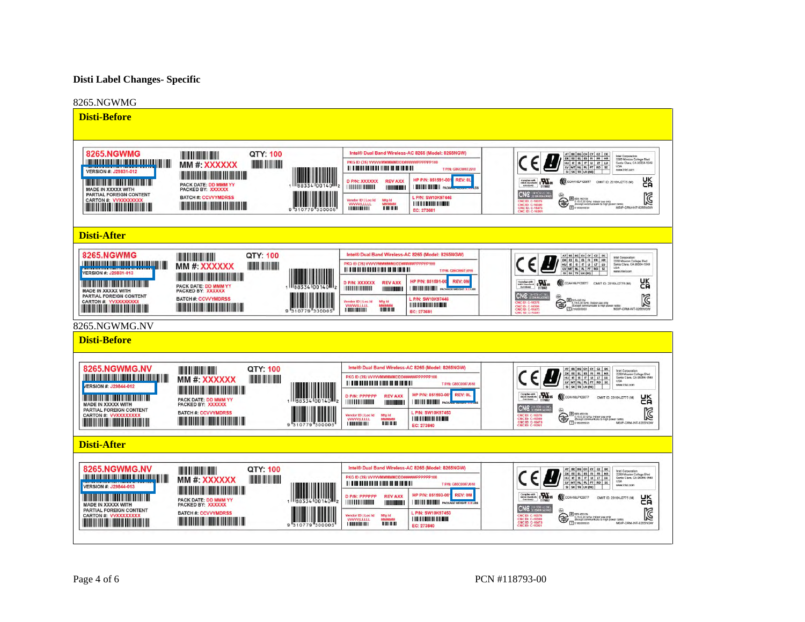#### **Disti Label Changes- Specific**



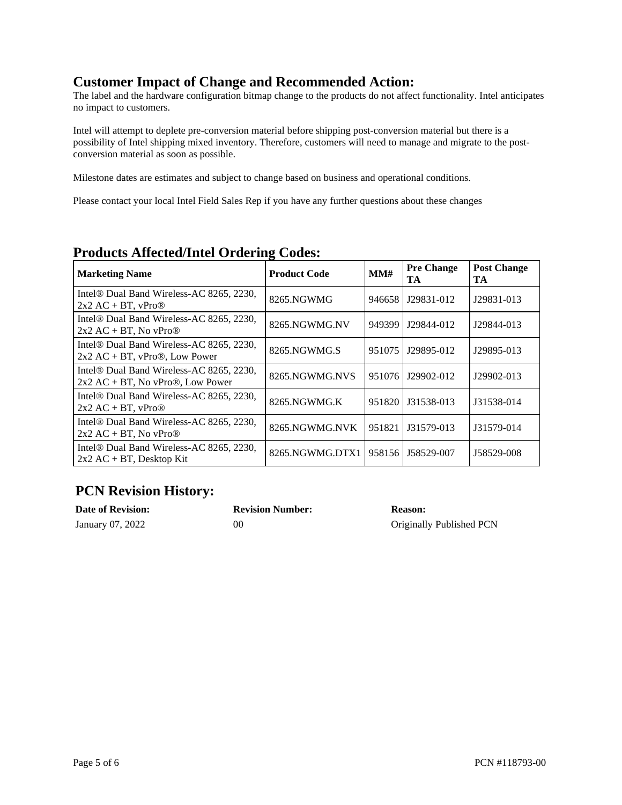## **Customer Impact of Change and Recommended Action:**

The label and the hardware configuration bitmap change to the products do not affect functionality. Intel anticipates no impact to customers.

Intel will attempt to deplete pre-conversion material before shipping post-conversion material but there is a possibility of Intel shipping mixed inventory. Therefore, customers will need to manage and migrate to the postconversion material as soon as possible.

Milestone dates are estimates and subject to change based on business and operational conditions.

Please contact your local Intel Field Sales Rep if you have any further questions about these changes

| <b>Marketing Name</b>                                                                       | <b>Product Code</b> | MMH    | <b>Pre Change</b><br>TA | <b>Post Change</b><br>TA |
|---------------------------------------------------------------------------------------------|---------------------|--------|-------------------------|--------------------------|
| Intel <sup>®</sup> Dual Band Wireless-AC 8265, 2230,<br>$2x2 AC + BT$ , vPro $\odot$        | 8265.NGWMG          | 946658 | J29831-012              | J29831-013               |
| Intel <sup>®</sup> Dual Band Wireless-AC 8265, 2230,<br>$2x2 AC + BT$ , No vPro $\circledR$ | 8265.NGWMG.NV       | 949399 | J29844-012              | J29844-013               |
| Intel <sup>®</sup> Dual Band Wireless-AC 8265, 2230,<br>$2x2 AC + BT$ , vPro®, Low Power    | 8265.NGWMG.S        | 951075 | J29895-012              | J29895-013               |
| Intel <sup>®</sup> Dual Band Wireless-AC 8265, 2230,<br>$2x2 AC + BT$ , No vPro®, Low Power | 8265.NGWMG.NVS      | 951076 | J29902-012              | J29902-013               |
| Intel <sup>®</sup> Dual Band Wireless-AC 8265, 2230,<br>$2x2 AC + BT$ , vPro $\circledR$    | 8265.NGWMG.K        | 951820 | J31538-013              | J31538-014               |
| Intel <sup>®</sup> Dual Band Wireless-AC 8265, 2230,<br>$2x2 AC + BT$ , No vPro $\circledR$ | 8265.NGWMG.NVK      | 951821 | J31579-013              | J31579-014               |
| Intel <sup>®</sup> Dual Band Wireless-AC 8265, 2230,<br>$2x2 AC + BT$ , Desktop Kit         | 8265.NGWMG.DTX1     | 958156 | J58529-007              | J58529-008               |

## **Products Affected/Intel Ordering Codes:**

## **PCN Revision History:**

| <b>Date of Revision:</b> | <b>Revision Number:</b> | <b>Reason:</b>           |
|--------------------------|-------------------------|--------------------------|
| January 07, 2022         | 00                      | Originally Published PCN |